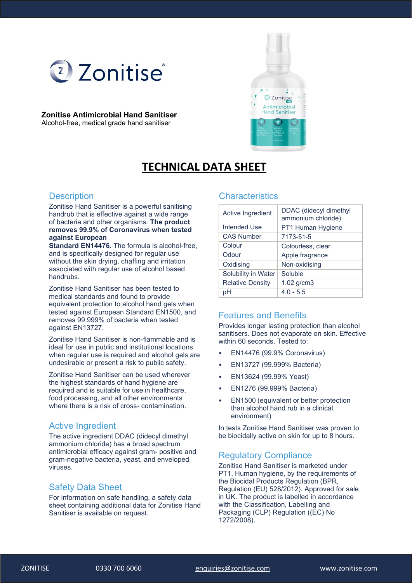

#### **Zonitise Antimicrobial Hand Sanitiser** Alcohol-free, medical grade hand sanitiser



# **TECHNICAL DATA SHEET**

#### **Description**

Zonitise Hand Sanitiser is a powerful sanitising handrub that is effective against a wide range of bacteria and other organisms. **The product removes 99.9% of Coronavirus when tested against European**

**Standard EN14476.** The formula is alcohol-free, and is specifically designed for regular use without the skin drying, chaffing and irritation associated with regular use of alcohol based handrubs.

Zonitise Hand Sanitiser has been tested to medical standards and found to provide equivalent protection to alcohol hand gels when tested against European Standard EN1500, and removes 99.999% of bacteria when tested against EN13727.

Zonitise Hand Sanitiser is non-flammable and is ideal for use in public and institutional locations when regular use is required and alcohol gels are undesirable or present a risk to public safety.

Zonitise Hand Sanitiser can be used wherever the highest standards of hand hygiene are required and is suitable for use in healthcare, food processing, and all other environments where there is a risk of cross- contamination.

### Active Ingredient

The active ingredient DDAC (didecyl dimethyl ammonium chloride) has a broad spectrum antimicrobial efficacy against gram- positive and gram-negative bacteria, yeast, and enveloped viruses.

#### Safety Data Sheet

For information on safe handling, a safety data sheet containing additional data for Zonitise Hand Sanitiser is available on request.

#### **Characteristics**

| Active Ingredient       | DDAC (didecyl dimethyl<br>ammonium chloride) |
|-------------------------|----------------------------------------------|
| Intended Use            | PT1 Human Hygiene                            |
| <b>CAS Number</b>       | 7173-51-5                                    |
| Colour                  | Colourless, clear                            |
| Odour                   | Apple fragrance                              |
| Oxidising               | Non-oxidising                                |
| Solubility in Water     | Soluble                                      |
| <b>Relative Density</b> | $1.02$ g/cm $3$                              |
| pН                      | $4.0 - 5.5$                                  |

## Features and Benefits

Provides longer lasting protection than alcohol sanitisers. Does not evaporate on skin. Effective within 60 seconds. Tested to:

- EN14476 (99.9% Coronavirus)
- EN13727 (99.999% Bacteria)
- EN13624 (99.99% Yeast)
- EN1276 (99.999% Bacteria)
- EN1500 (equivalent or better protection than alcohol hand rub in a clinical environment)

In tests Zonitise Hand Sanitiser was proven to be biocidally active on skin for up to 8 hours.

### Regulatory Compliance

Zonitise Hand Sanitiser is marketed under PT1, Human hygiene, by the requirements of the Biocidal Products Regulation (BPR, Regulation (EU) 528/2012). Approved for sale in UK. The product is labelled in accordance with the Classification, Labelling and Packaging (CLP) Regulation ((EC) No 1272/2008).